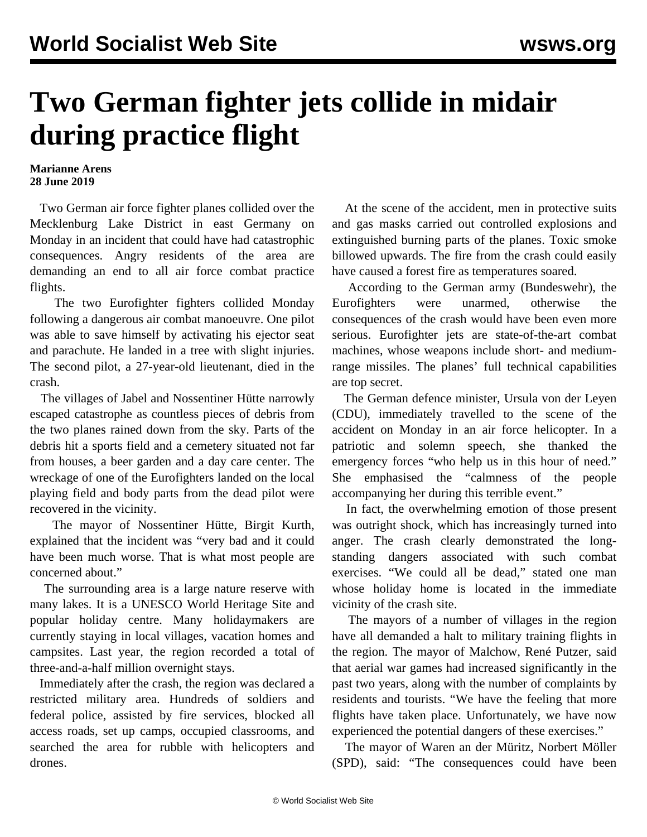## **Two German fighter jets collide in midair during practice flight**

## **Marianne Arens 28 June 2019**

 Two German air force fighter planes collided over the Mecklenburg Lake District in east Germany on Monday in an incident that could have had catastrophic consequences. Angry residents of the area are demanding an end to all air force combat practice flights.

 The two Eurofighter fighters collided Monday following a dangerous air combat manoeuvre. One pilot was able to save himself by activating his ejector seat and parachute. He landed in a tree with slight injuries. The second pilot, a 27-year-old lieutenant, died in the crash.

 The villages of Jabel and Nossentiner Hütte narrowly escaped catastrophe as countless pieces of debris from the two planes rained down from the sky. Parts of the debris hit a sports field and a cemetery situated not far from houses, a beer garden and a day care center. The wreckage of one of the Eurofighters landed on the local playing field and body parts from the dead pilot were recovered in the vicinity.

 The mayor of Nossentiner Hütte, Birgit Kurth, explained that the incident was "very bad and it could have been much worse. That is what most people are concerned about."

 The surrounding area is a large nature reserve with many lakes. It is a UNESCO World Heritage Site and popular holiday centre. Many holidaymakers are currently staying in local villages, vacation homes and campsites. Last year, the region recorded a total of three-and-a-half million overnight stays.

 Immediately after the crash, the region was declared a restricted military area. Hundreds of soldiers and federal police, assisted by fire services, blocked all access roads, set up camps, occupied classrooms, and searched the area for rubble with helicopters and drones.

 At the scene of the accident, men in protective suits and gas masks carried out controlled explosions and extinguished burning parts of the planes. Toxic smoke billowed upwards. The fire from the crash could easily have caused a forest fire as temperatures soared.

 According to the German army (Bundeswehr), the Eurofighters were unarmed, otherwise the consequences of the crash would have been even more serious. Eurofighter jets are state-of-the-art combat machines, whose weapons include short- and mediumrange missiles. The planes' full technical capabilities are top secret.

 The German defence minister, Ursula von der Leyen (CDU), immediately travelled to the scene of the accident on Monday in an air force helicopter. In a patriotic and solemn speech, she thanked the emergency forces "who help us in this hour of need." She emphasised the "calmness of the people accompanying her during this terrible event."

 In fact, the overwhelming emotion of those present was outright shock, which has increasingly turned into anger. The crash clearly demonstrated the longstanding dangers associated with such combat exercises. "We could all be dead," stated one man whose holiday home is located in the immediate vicinity of the crash site.

 The mayors of a number of villages in the region have all demanded a halt to military training flights in the region. The mayor of Malchow, René Putzer, said that aerial war games had increased significantly in the past two years, along with the number of complaints by residents and tourists. "We have the feeling that more flights have taken place. Unfortunately, we have now experienced the potential dangers of these exercises."

 The mayor of Waren an der Müritz, Norbert Möller (SPD), said: "The consequences could have been